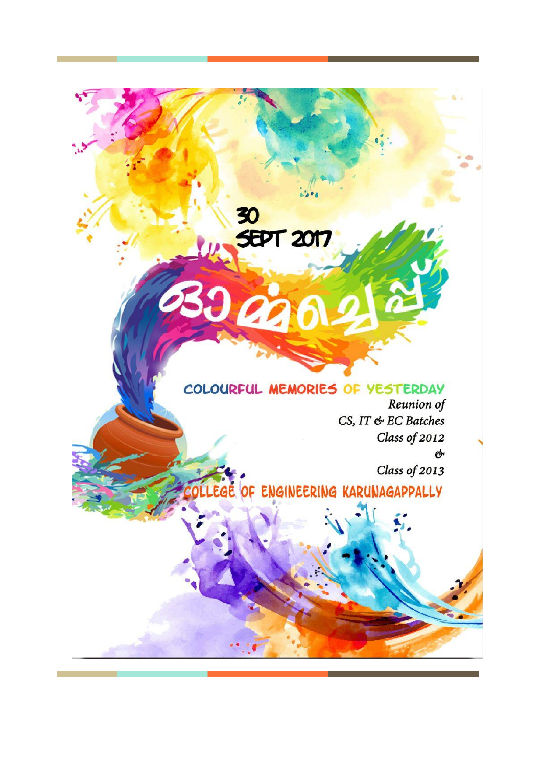

30<br><del>SE</del>PT 2017

2300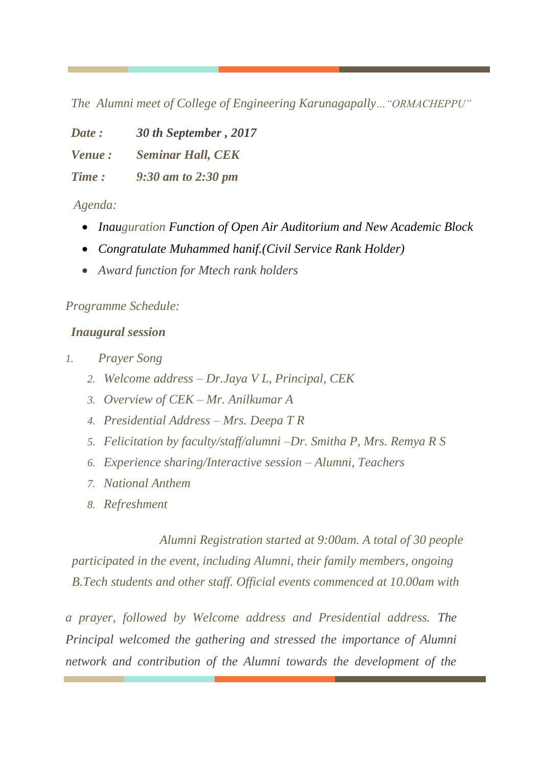*The Alumni meet of College of Engineering Karunagapally…"ORMACHEPPU"*

*Date : 30 th September , 2017*

*Venue : Seminar Hall, CEK* 

*Time : 9:30 am to 2:30 pm*

*Agenda:*

- *Inauguration Function of Open Air Auditorium and New Academic Block*
- *Congratulate Muhammed hanif.(Civil Service Rank Holder)*
- *Award function for Mtech rank holders*

## *Programme Schedule:*

## *Inaugural session*

- *1. Prayer Song*
	- *2. Welcome address – Dr.Jaya V L, Principal, CEK*
	- *3. Overview of CEK – Mr. Anilkumar A*
	- *4. Presidential Address – Mrs. Deepa T R*
	- *5. Felicitation by faculty/staff/alumni –Dr. Smitha P, Mrs. Remya R S*
	- *6. Experience sharing/Interactive session – Alumni, Teachers*
	- *7. National Anthem*
	- *8. Refreshment*

 *Alumni Registration started at 9:00am. A total of 30 people participated in the event, including Alumni, their family members, ongoing B.Tech students and other staff. Official events commenced at 10.00am with*

*a prayer, followed by Welcome address and Presidential address. The Principal welcomed the gathering and stressed the importance of Alumni network and contribution of the Alumni towards the development of the*